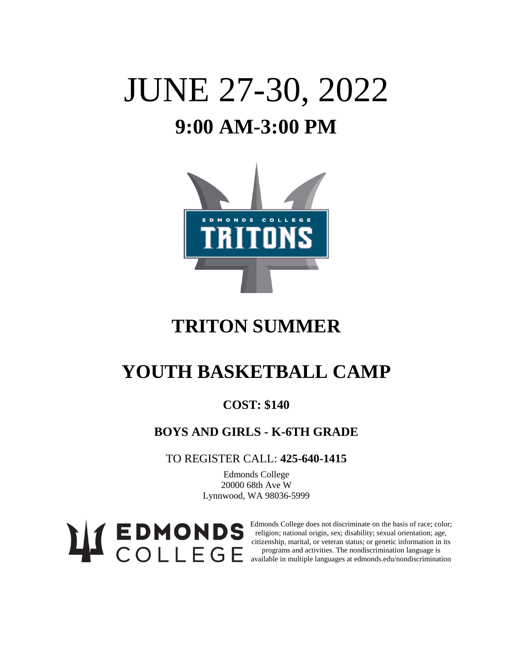# JUNE 27-30, 2022 **9:00 AM-3:00 PM**



## **TRITON SUMMER**

## **YOUTH BASKETBALL CAMP**

### **COST: \$140**

### **BOYS AND GIRLS - K-6TH GRADE**

TO REGISTER CALL: **425-640-1415**

Edmonds College 20000 68th Ave W Lynnwood, WA 98036-5999

Edmonds College does not discriminate on the basis of race; color; religion; national origin, sex; disability; sexual orientation; age, citizenship, marital, or veteran status; or genetic information in its programs and activities. The nondiscrimination language is available in multiple languages at edmonds.edu/nondiscrimination